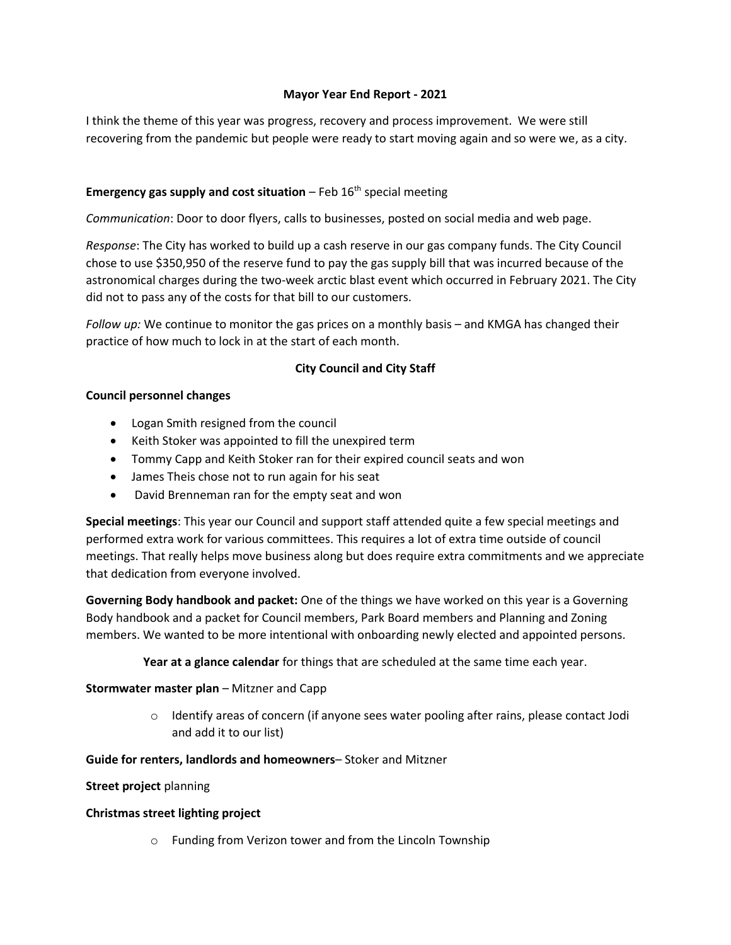## **Mayor Year End Report - 2021**

I think the theme of this year was progress, recovery and process improvement. We were still recovering from the pandemic but people were ready to start moving again and so were we, as a city.

# **Emergency gas supply and cost situation** – Feb 16<sup>th</sup> special meeting

*Communication*: Door to door flyers, calls to businesses, posted on social media and web page.

*Response*: The City has worked to build up a cash reserve in our gas company funds. The City Council chose to use \$350,950 of the reserve fund to pay the gas supply bill that was incurred because of the astronomical charges during the two-week arctic blast event which occurred in February 2021. The City did not to pass any of the costs for that bill to our customers.

*Follow up:* We continue to monitor the gas prices on a monthly basis – and KMGA has changed their practice of how much to lock in at the start of each month.

# **City Council and City Staff**

#### **Council personnel changes**

- Logan Smith resigned from the council
- Keith Stoker was appointed to fill the unexpired term
- Tommy Capp and Keith Stoker ran for their expired council seats and won
- James Theis chose not to run again for his seat
- David Brenneman ran for the empty seat and won

**Special meetings**: This year our Council and support staff attended quite a few special meetings and performed extra work for various committees. This requires a lot of extra time outside of council meetings. That really helps move business along but does require extra commitments and we appreciate that dedication from everyone involved.

**Governing Body handbook and packet:** One of the things we have worked on this year is a Governing Body handbook and a packet for Council members, Park Board members and Planning and Zoning members. We wanted to be more intentional with onboarding newly elected and appointed persons.

**Year at a glance calendar** for things that are scheduled at the same time each year.

### **Stormwater master plan** – Mitzner and Capp

 $\circ$  Identify areas of concern (if anyone sees water pooling after rains, please contact Jodi and add it to our list)

### **Guide for renters, landlords and homeowners**– Stoker and Mitzner

## **Street project** planning

### **Christmas street lighting project**

o Funding from Verizon tower and from the Lincoln Township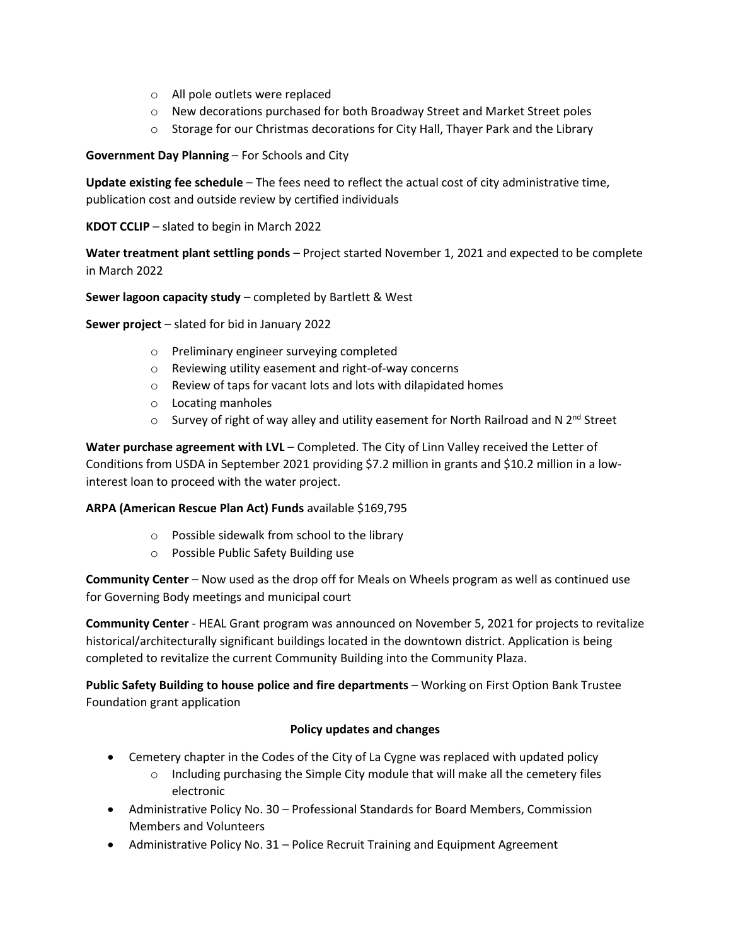- o All pole outlets were replaced
- o New decorations purchased for both Broadway Street and Market Street poles
- $\circ$  Storage for our Christmas decorations for City Hall, Thayer Park and the Library

## **Government Day Planning** – For Schools and City

**Update existing fee schedule** – The fees need to reflect the actual cost of city administrative time, publication cost and outside review by certified individuals

**KDOT CCLIP** – slated to begin in March 2022

**Water treatment plant settling ponds** – Project started November 1, 2021 and expected to be complete in March 2022

## **Sewer lagoon capacity study** – completed by Bartlett & West

**Sewer project** – slated for bid in January 2022

- o Preliminary engineer surveying completed
- o Reviewing utility easement and right-of-way concerns
- o Review of taps for vacant lots and lots with dilapidated homes
- o Locating manholes
- $\circ$  Survey of right of way alley and utility easement for North Railroad and N 2<sup>nd</sup> Street

**Water purchase agreement with LVL** – Completed. The City of Linn Valley received the Letter of Conditions from USDA in September 2021 providing \$7.2 million in grants and \$10.2 million in a lowinterest loan to proceed with the water project.

### **ARPA (American Rescue Plan Act) Funds** available \$169,795

- o Possible sidewalk from school to the library
- o Possible Public Safety Building use

**Community Center** – Now used as the drop off for Meals on Wheels program as well as continued use for Governing Body meetings and municipal court

**Community Center** - HEAL Grant program was announced on November 5, 2021 for projects to revitalize historical/architecturally significant buildings located in the downtown district. Application is being completed to revitalize the current Community Building into the Community Plaza.

**Public Safety Building to house police and fire departments** – Working on First Option Bank Trustee Foundation grant application

### **Policy updates and changes**

- Cemetery chapter in the Codes of the City of La Cygne was replaced with updated policy
	- $\circ$  Including purchasing the Simple City module that will make all the cemetery files electronic
- Administrative Policy No. 30 Professional Standards for Board Members, Commission Members and Volunteers
- Administrative Policy No. 31 Police Recruit Training and Equipment Agreement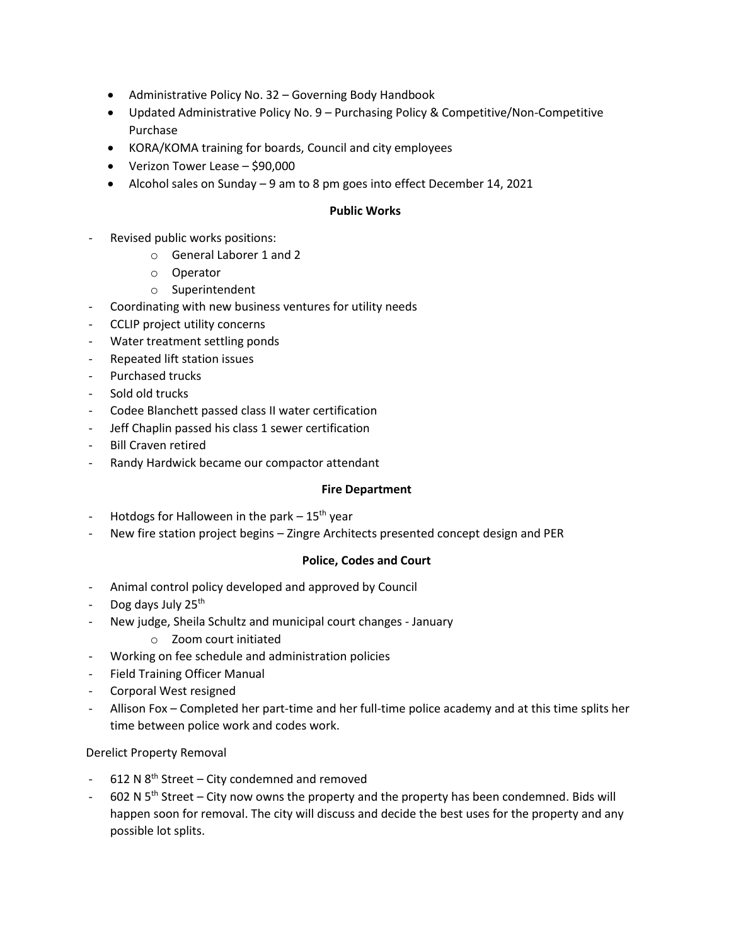- Administrative Policy No. 32 Governing Body Handbook
- Updated Administrative Policy No. 9 Purchasing Policy & Competitive/Non-Competitive Purchase
- KORA/KOMA training for boards, Council and city employees
- Verizon Tower Lease \$90,000
- Alcohol sales on Sunday 9 am to 8 pm goes into effect December 14, 2021

### **Public Works**

- Revised public works positions:
	- o General Laborer 1 and 2
	- o Operator
	- o Superintendent
- Coordinating with new business ventures for utility needs
- CCLIP project utility concerns
- Water treatment settling ponds
- Repeated lift station issues
- Purchased trucks
- Sold old trucks
- Codee Blanchett passed class II water certification
- Jeff Chaplin passed his class 1 sewer certification
- Bill Craven retired
- Randy Hardwick became our compactor attendant

### **Fire Department**

- Hotdogs for Halloween in the park  $-15<sup>th</sup>$  year
- New fire station project begins Zingre Architects presented concept design and PER

### **Police, Codes and Court**

- Animal control policy developed and approved by Council
- Dog days July 25<sup>th</sup>
- New judge, Sheila Schultz and municipal court changes January
	- o Zoom court initiated
- Working on fee schedule and administration policies
- Field Training Officer Manual
- Corporal West resigned
- Allison Fox Completed her part-time and her full-time police academy and at this time splits her time between police work and codes work.

### Derelict Property Removal

- 612 N 8<sup>th</sup> Street City condemned and removed
- $-$  602 N 5<sup>th</sup> Street City now owns the property and the property has been condemned. Bids will happen soon for removal. The city will discuss and decide the best uses for the property and any possible lot splits.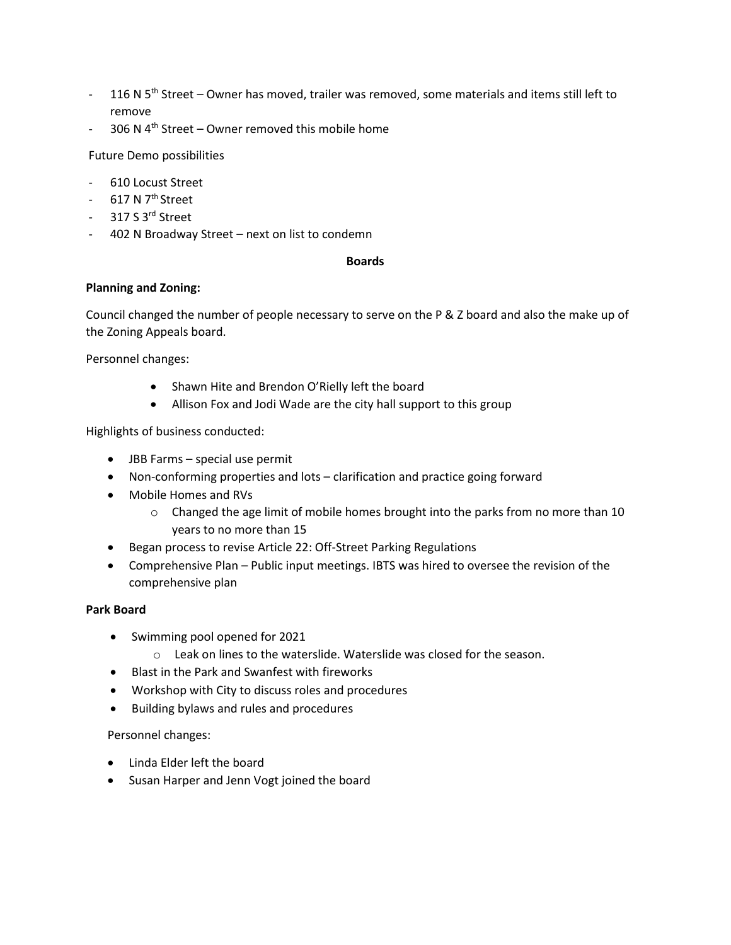- 116 N  $5<sup>th</sup>$  Street Owner has moved, trailer was removed, some materials and items still left to remove
- 306 N  $4<sup>th</sup>$  Street Owner removed this mobile home

Future Demo possibilities

- 610 Locust Street
- $-617$  N  $7<sup>th</sup>$  Street
- 317 S 3<sup>rd</sup> Street
- 402 N Broadway Street next on list to condemn

#### **Boards**

#### **Planning and Zoning:**

Council changed the number of people necessary to serve on the P & Z board and also the make up of the Zoning Appeals board.

Personnel changes:

- Shawn Hite and Brendon O'Rielly left the board
- Allison Fox and Jodi Wade are the city hall support to this group

Highlights of business conducted:

- JBB Farms special use permit
- Non-conforming properties and lots clarification and practice going forward
- Mobile Homes and RVs
	- o Changed the age limit of mobile homes brought into the parks from no more than 10 years to no more than 15
- Began process to revise Article 22: Off-Street Parking Regulations
- Comprehensive Plan Public input meetings. IBTS was hired to oversee the revision of the comprehensive plan

## **Park Board**

- Swimming pool opened for 2021
	- o Leak on lines to the waterslide. Waterslide was closed for the season.
- Blast in the Park and Swanfest with fireworks
- Workshop with City to discuss roles and procedures
- Building bylaws and rules and procedures

Personnel changes:

- Linda Elder left the board
- Susan Harper and Jenn Vogt joined the board